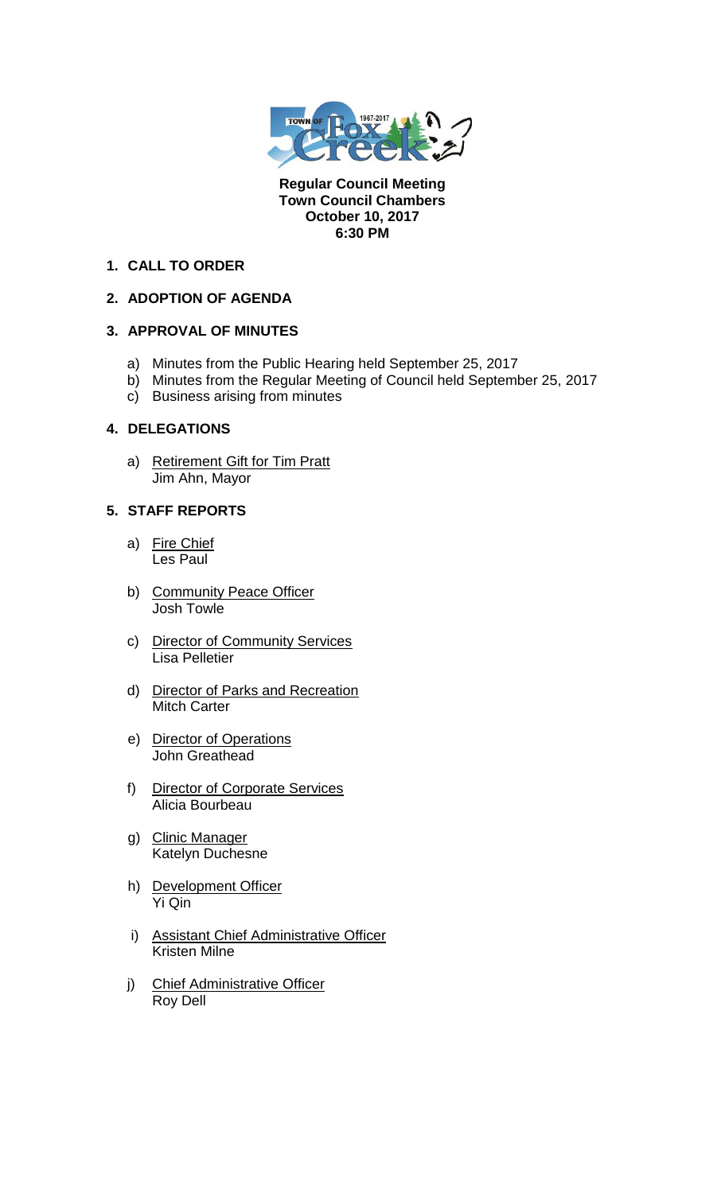

**Regular Council Meeting Town Council Chambers October 10, 2017 6:30 PM** 

### **1. CALL TO ORDER**

## **2. ADOPTION OF AGENDA**

## **3. APPROVAL OF MINUTES**

- a) Minutes from the Public Hearing held September 25, 2017
- b) Minutes from the Regular Meeting of Council held September 25, 2017
- c) Business arising from minutes

## **4. DELEGATIONS**

a) Retirement Gift for Tim Pratt Jim Ahn, Mayor

# **5. STAFF REPORTS**

- a) Fire Chief Les Paul
- b) Community Peace Officer Josh Towle
- c) Director of Community Services Lisa Pelletier
- d) Director of Parks and Recreation Mitch Carter
- e) Director of Operations John Greathead
- f) Director of Corporate Services Alicia Bourbeau
- g) Clinic Manager Katelyn Duchesne
- h) Development Officer Yi Qin
- i) Assistant Chief Administrative Officer Kristen Milne
- j) Chief Administrative Officer Roy Dell